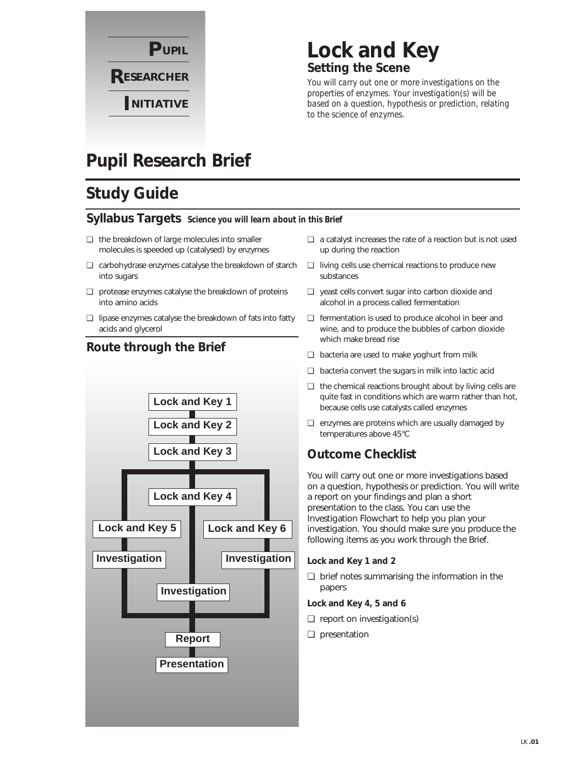

### **Lock and Key Setting the Scene**

*You will carry out one or more investigations on the properties of enzymes. Your investigation(s) will be based on a question, hypothesis or prediction, relating to the science of enzymes.*

## **Pupil Research Brief**

## **Study Guide**

#### **Syllabus Targets** *Science you will learn about in this Brief*

- ❏ the breakdown of large molecules into smaller molecules is speeded up (catalysed) by enzymes
- ❏ carbohydrase enzymes catalyse the breakdown of starch ❏ living cells use chemical reactions to produce new into sugars
- ❏ protease enzymes catalyse the breakdown of proteins into amino acids
- ❏ lipase enzymes catalyse the breakdown of fats into fatty acids and glycerol



#### **Route through the Brief**

- ❏ a catalyst increases the rate of a reaction but is not used up during the reaction
- substances
- ❏ yeast cells convert sugar into carbon dioxide and alcohol in a process called fermentation
- ❏ fermentation is used to produce alcohol in beer and wine, and to produce the bubbles of carbon dioxide which make bread rise
- ❏ bacteria are used to make yoghurt from milk
- ❏ bacteria convert the sugars in milk into lactic acid
- ❏ the chemical reactions brought about by living cells are quite fast in conditions which are warm rather than hot, because cells use catalysts called enzymes
- ❏ enzymes are proteins which are usually damaged by temperatures above 45°C

### **Outcome Checklist**

You will carry out one or more investigations based on a question, hypothesis or prediction. You will write a report on your findings and plan a short presentation to the class. You can use the Investigation Flowchart to help you plan your investigation. You should make sure you produce the following items as you work through the Brief.

#### **Lock and Key 1 and 2**

❏ brief notes summarising the information in the papers

#### **Lock and Key 4, 5 and 6**

- ❏ report on investigation(s)
- ❏ presentation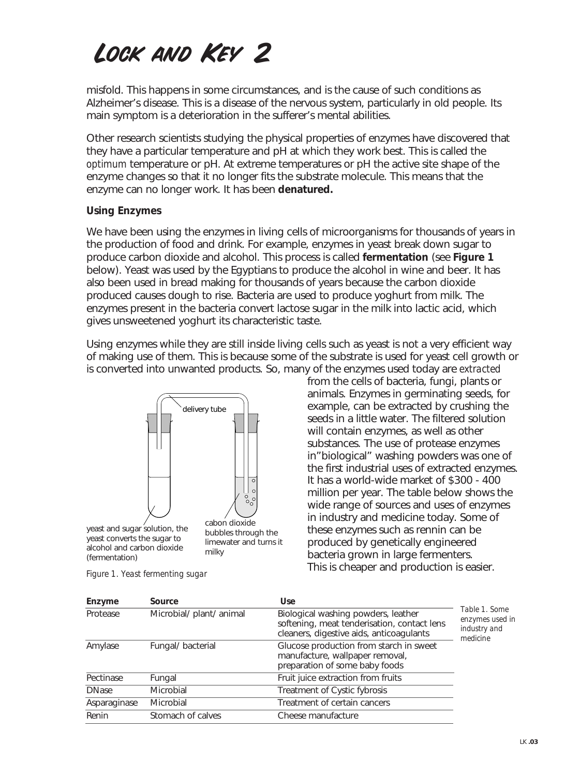# Lock and Key 2

misfold. This happens in some circumstances, and is the cause of such conditions as Alzheimer's disease. This is a disease of the nervous system, particularly in old people. Its main symptom is a deterioration in the sufferer's mental abilities.

Other research scientists studying the physical properties of enzymes have discovered that they have a particular temperature and pH at which they work best. This is called the *optimum* temperature or pH. At extreme temperatures or pH the active site shape of the enzyme changes so that it no longer fits the substrate molecule. This means that the enzyme can no longer work. It has been **denatured.**

#### **Using Enzymes**

We have been using the enzymes in living cells of microorganisms for thousands of years in the production of food and drink. For example, enzymes in yeast break down sugar to produce carbon dioxide and alcohol. This process is called **fermentation** (see **Figure 1** below). Yeast was used by the Egyptians to produce the alcohol in wine and beer. It has also been used in bread making for thousands of years because the carbon dioxide produced causes dough to rise. Bacteria are used to produce yoghurt from milk. The enzymes present in the bacteria convert lactose sugar in the milk into lactic acid, which gives unsweetened yoghurt its characteristic taste.

Using enzymes while they are still inside living cells such as yeast is not a very efficient way of making use of them. This is because some of the substrate is used for yeast cell growth or is converted into unwanted products. So, many of the enzymes used today are *extracted*



yeast converts the sugar to bubbles through alcohol and carbon dioxide successive and cancer and neuron<br>(fermentation) carion di yeast and sugar solution, the

cabon dioxide bubbles through the limewater and turns it milky

from the cells of bacteria, fungi, plants or animals. Enzymes in germinating seeds, for example, can be extracted by crushing the seeds in a little water. The filtered solution will contain enzymes, as well as other substances. The use of protease enzymes in"biological" washing powders was one of the first industrial uses of extracted enzymes. It has a world-wide market of \$300 - 400 million per year. The table below shows the wide range of sources and uses of enzymes in industry and medicine today. Some of these enzymes such as rennin can be produced by genetically engineered bacteria grown in large fermenters. This is cheaper and production is easier.

| Enzyme       | Source                   | <b>Use</b>                                                                                                                     |                                                              |
|--------------|--------------------------|--------------------------------------------------------------------------------------------------------------------------------|--------------------------------------------------------------|
| Protease     | Microbial/ plant/ animal | Biological washing powders, leather<br>softening, meat tenderisation, contact lens<br>cleaners, digestive aids, anticoagulants | Table 1. Some<br>enzymes used in<br>industry and<br>medicine |
| Amylase      | Fungal/bacterial         | Glucose production from starch in sweet<br>manufacture, wallpaper removal,<br>preparation of some baby foods                   |                                                              |
| Pectinase    | Fungal                   | Fruit juice extraction from fruits                                                                                             |                                                              |
| <b>DNase</b> | Microbial                | Treatment of Cystic fybrosis                                                                                                   |                                                              |
| Asparaginase | <b>Microbial</b>         | Treatment of certain cancers                                                                                                   |                                                              |
| Renin        | Stomach of calves        | Cheese manufacture                                                                                                             |                                                              |

*Figure 1. Yeast fermenting sugar*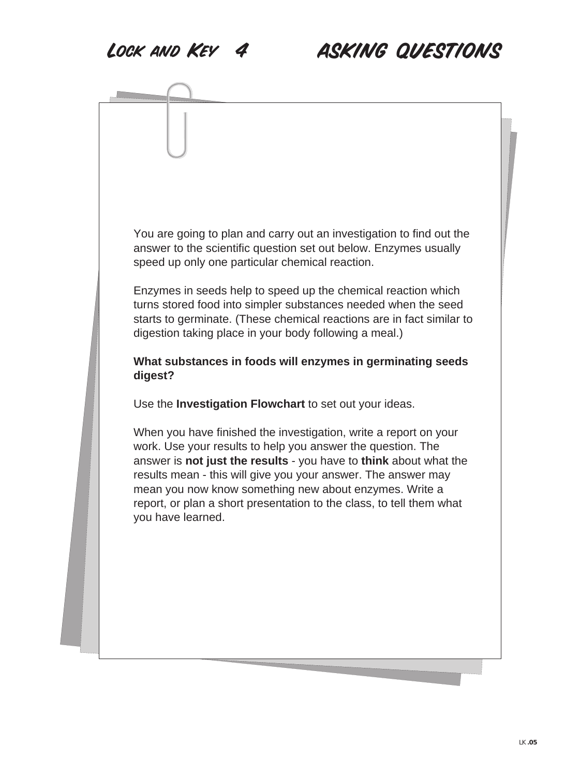